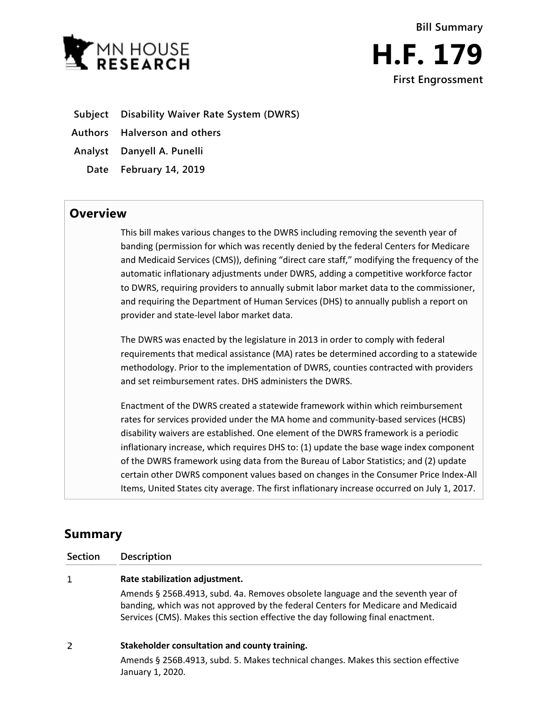



**Subject Disability Waiver Rate System (DWRS)**

**Authors Halverson and others**

**Analyst Danyell A. Punelli**

**Date February 14, 2019**

## **Overview**

This bill makes various changes to the DWRS including removing the seventh year of banding (permission for which was recently denied by the federal Centers for Medicare and Medicaid Services (CMS)), defining "direct care staff," modifying the frequency of the automatic inflationary adjustments under DWRS, adding a competitive workforce factor to DWRS, requiring providers to annually submit labor market data to the commissioner, and requiring the Department of Human Services (DHS) to annually publish a report on provider and state-level labor market data.

The DWRS was enacted by the legislature in 2013 in order to comply with federal requirements that medical assistance (MA) rates be determined according to a statewide methodology. Prior to the implementation of DWRS, counties contracted with providers and set reimbursement rates. DHS administers the DWRS.

Enactment of the DWRS created a statewide framework within which reimbursement rates for services provided under the MA home and community-based services (HCBS) disability waivers are established. One element of the DWRS framework is a periodic inflationary increase, which requires DHS to: (1) update the base wage index component of the DWRS framework using data from the Bureau of Labor Statistics; and (2) update certain other DWRS component values based on changes in the Consumer Price Index-All Items, United States city average. The first inflationary increase occurred on July 1, 2017.

# **Summary**

**Section Description**

#### $\mathbf{1}$ **Rate stabilization adjustment.**

Amends § 256B.4913, subd. 4a. Removes obsolete language and the seventh year of banding, which was not approved by the federal Centers for Medicare and Medicaid Services (CMS). Makes this section effective the day following final enactment.

#### $\overline{2}$ **Stakeholder consultation and county training.**

Amends § 256B.4913, subd. 5. Makes technical changes. Makes this section effective January 1, 2020.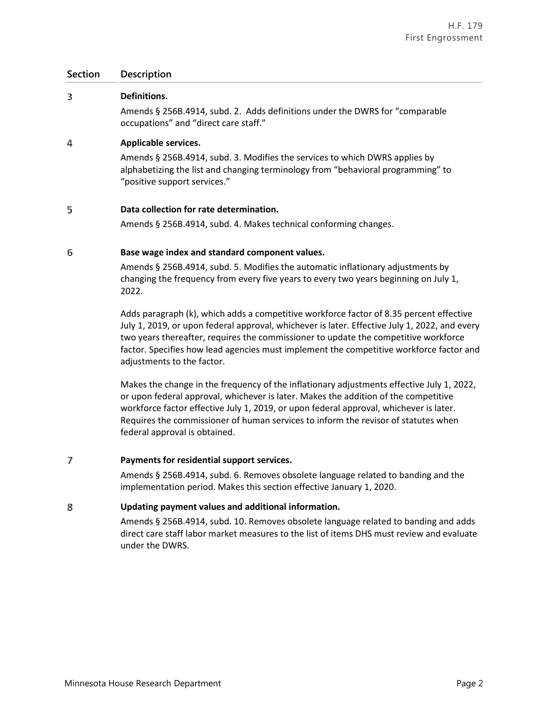### **Section Description**

#### 3 **Definitions.**

Amends § 256B.4914, subd. 2. Adds definitions under the DWRS for "comparable occupations" and "direct care staff."

#### 4 **Applicable services.**

Amends § 256B.4914, subd. 3. Modifies the services to which DWRS applies by alphabetizing the list and changing terminology from "behavioral programming" to "positive support services."

#### 5 **Data collection for rate determination.**

Amends § 256B.4914, subd. 4. Makes technical conforming changes.

#### 6 **Base wage index and standard component values.**

Amends § 256B.4914, subd. 5. Modifies the automatic inflationary adjustments by changing the frequency from every five years to every two years beginning on July 1, 2022.

Adds paragraph (k), which adds a competitive workforce factor of 8.35 percent effective July 1, 2019, or upon federal approval, whichever is later. Effective July 1, 2022, and every two years thereafter, requires the commissioner to update the competitive workforce factor. Specifies how lead agencies must implement the competitive workforce factor and adjustments to the factor.

Makes the change in the frequency of the inflationary adjustments effective July 1, 2022, or upon federal approval, whichever is later. Makes the addition of the competitive workforce factor effective July 1, 2019, or upon federal approval, whichever is later. Requires the commissioner of human services to inform the revisor of statutes when federal approval is obtained.

#### 7 **Payments for residential support services.**

Amends § 256B.4914, subd. 6. Removes obsolete language related to banding and the implementation period. Makes this section effective January 1, 2020.

#### 8 **Updating payment values and additional information.**

Amends § 256B.4914, subd. 10. Removes obsolete language related to banding and adds direct care staff labor market measures to the list of items DHS must review and evaluate under the DWRS.